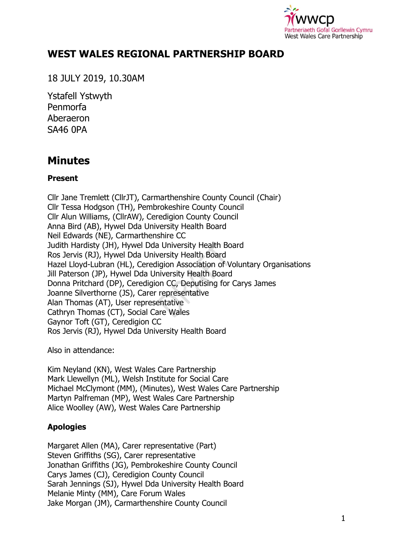

## **WEST WALES REGIONAL PARTNERSHIP BOARD**

18 JULY 2019, 10.30AM

Ystafell Ystwyth Penmorfa Aberaeron SA46 0PA

# **Minutes**

## **Present**

Cllr Jane Tremlett (CllrJT), Carmarthenshire County Council (Chair) Cllr Tessa Hodgson (TH), Pembrokeshire County Council Cllr Alun Williams, (CllrAW), Ceredigion County Council Anna Bird (AB), Hywel Dda University Health Board Neil Edwards (NE), Carmarthenshire CC Judith Hardisty (JH), Hywel Dda University Health Board Ros Jervis (RJ), Hywel Dda University Health Board Hazel Lloyd-Lubran (HL), Ceredigion Association of Voluntary Organisations Jill Paterson (JP), Hywel Dda University Health Board Donna Pritchard (DP), Ceredigion CC, Deputising for Carys James Joanne Silverthorne (JS), Carer representative Alan Thomas (AT), User representative Cathryn Thomas (CT), Social Care Wales Gaynor Toft (GT), Ceredigion CC Ros Jervis (RJ), Hywel Dda University Health Board

Also in attendance:

Kim Neyland (KN), West Wales Care Partnership Mark Llewellyn (ML), Welsh Institute for Social Care Michael McClymont (MM), (Minutes), West Wales Care Partnership Martyn Palfreman (MP), West Wales Care Partnership Alice Woolley (AW), West Wales Care Partnership

## **Apologies**

Margaret Allen (MA), Carer representative (Part) Steven Griffiths (SG), Carer representative Jonathan Griffiths (JG), Pembrokeshire County Council Carys James (CJ), Ceredigion County Council Sarah Jennings (SJ), Hywel Dda University Health Board Melanie Minty (MM), Care Forum Wales Jake Morgan (JM), Carmarthenshire County Council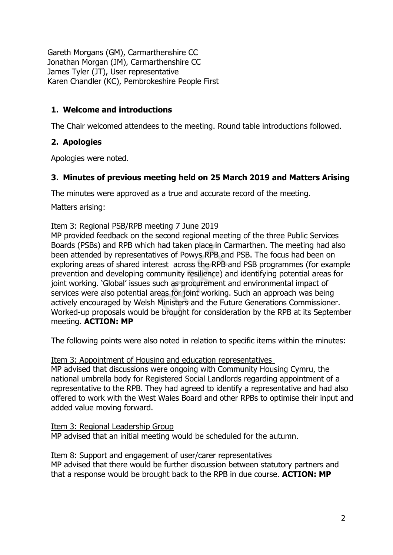Gareth Morgans (GM), Carmarthenshire CC Jonathan Morgan (JM), Carmarthenshire CC James Tyler (JT), User representative Karen Chandler (KC), Pembrokeshire People First

## **1. Welcome and introductions**

The Chair welcomed attendees to the meeting. Round table introductions followed.

## **2. Apologies**

Apologies were noted.

## **3. Minutes of previous meeting held on 25 March 2019 and Matters Arising**

The minutes were approved as a true and accurate record of the meeting.

Matters arising:

#### Item 3: Regional PSB/RPB meeting 7 June 2019

MP provided feedback on the second regional meeting of the three Public Services Boards (PSBs) and RPB which had taken place in Carmarthen. The meeting had also been attended by representatives of Powys RPB and PSB. The focus had been on exploring areas of shared interest across the RPB and PSB programmes (for example prevention and developing community resilience) and identifying potential areas for joint working. 'Global' issues such as procurement and environmental impact of services were also potential areas for joint working. Such an approach was being actively encouraged by Welsh Ministers and the Future Generations Commissioner. Worked-up proposals would be brought for consideration by the RPB at its September meeting. **ACTION: MP**

The following points were also noted in relation to specific items within the minutes:

Item 3: Appointment of Housing and education representatives

MP advised that discussions were ongoing with Community Housing Cymru, the national umbrella body for Registered Social Landlords regarding appointment of a representative to the RPB. They had agreed to identify a representative and had also offered to work with the West Wales Board and other RPBs to optimise their input and added value moving forward.

Item 3: Regional Leadership Group MP advised that an initial meeting would be scheduled for the autumn.

Item 8: Support and engagement of user/carer representatives MP advised that there would be further discussion between statutory partners and that a response would be brought back to the RPB in due course. **ACTION: MP**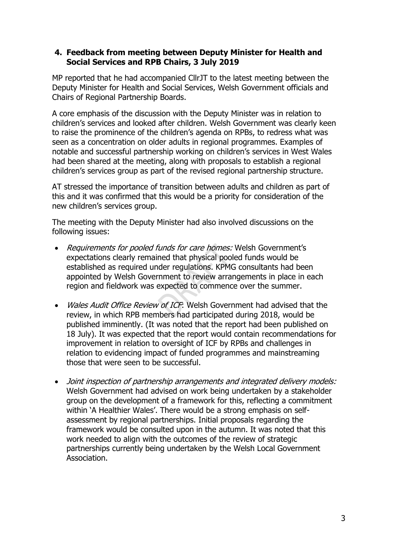#### **4. Feedback from meeting between Deputy Minister for Health and Social Services and RPB Chairs, 3 July 2019**

MP reported that he had accompanied CllrJT to the latest meeting between the Deputy Minister for Health and Social Services, Welsh Government officials and Chairs of Regional Partnership Boards.

A core emphasis of the discussion with the Deputy Minister was in relation to children's services and looked after children. Welsh Government was clearly keen to raise the prominence of the children's agenda on RPBs, to redress what was seen as a concentration on older adults in regional programmes. Examples of notable and successful partnership working on children's services in West Wales had been shared at the meeting, along with proposals to establish a regional children's services group as part of the revised regional partnership structure.

AT stressed the importance of transition between adults and children as part of this and it was confirmed that this would be a priority for consideration of the new children's services group.

The meeting with the Deputy Minister had also involved discussions on the following issues:

- Requirements for pooled funds for care homes: Welsh Government's expectations clearly remained that physical pooled funds would be established as required under regulations. KPMG consultants had been appointed by Welsh Government to review arrangements in place in each region and fieldwork was expected to commence over the summer.
- Wales Audit Office Review of ICF: Welsh Government had advised that the review, in which RPB members had participated during 2018, would be published imminently. (It was noted that the report had been published on 18 July). It was expected that the report would contain recommendations for improvement in relation to oversight of ICF by RPBs and challenges in relation to evidencing impact of funded programmes and mainstreaming those that were seen to be successful.
- Joint inspection of partnership arrangements and integrated delivery models: Welsh Government had advised on work being undertaken by a stakeholder group on the development of a framework for this, reflecting a commitment within 'A Healthier Wales'. There would be a strong emphasis on selfassessment by regional partnerships. Initial proposals regarding the framework would be consulted upon in the autumn. It was noted that this work needed to align with the outcomes of the review of strategic partnerships currently being undertaken by the Welsh Local Government Association.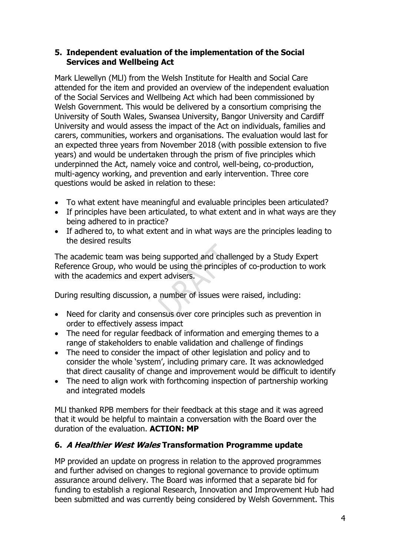#### **5. Independent evaluation of the implementation of the Social Services and Wellbeing Act**

Mark Llewellyn (MLl) from the Welsh Institute for Health and Social Care attended for the item and provided an overview of the independent evaluation of the Social Services and Wellbeing Act which had been commissioned by Welsh Government. This would be delivered by a consortium comprising the University of South Wales, Swansea University, Bangor University and Cardiff University and would assess the impact of the Act on individuals, families and carers, communities, workers and organisations. The evaluation would last for an expected three years from November 2018 (with possible extension to five years) and would be undertaken through the prism of five principles which underpinned the Act, namely voice and control, well-being, co-production, multi-agency working, and prevention and early intervention. Three core questions would be asked in relation to these:

- To what extent have meaningful and evaluable principles been articulated?
- If principles have been articulated, to what extent and in what ways are they being adhered to in practice?
- If adhered to, to what extent and in what ways are the principles leading to the desired results

The academic team was being supported and challenged by a Study Expert Reference Group, who would be using the principles of co-production to work with the academics and expert advisers.

During resulting discussion, a number of issues were raised, including:

- Need for clarity and consensus over core principles such as prevention in order to effectively assess impact
- The need for regular feedback of information and emerging themes to a range of stakeholders to enable validation and challenge of findings
- The need to consider the impact of other legislation and policy and to consider the whole 'system', including primary care. It was acknowledged that direct causality of change and improvement would be difficult to identify
- The need to align work with forthcoming inspection of partnership working and integrated models

MLl thanked RPB members for their feedback at this stage and it was agreed that it would be helpful to maintain a conversation with the Board over the duration of the evaluation. **ACTION: MP**

## **6. A Healthier West Wales Transformation Programme update**

MP provided an update on progress in relation to the approved programmes and further advised on changes to regional governance to provide optimum assurance around delivery. The Board was informed that a separate bid for funding to establish a regional Research, Innovation and Improvement Hub had been submitted and was currently being considered by Welsh Government. This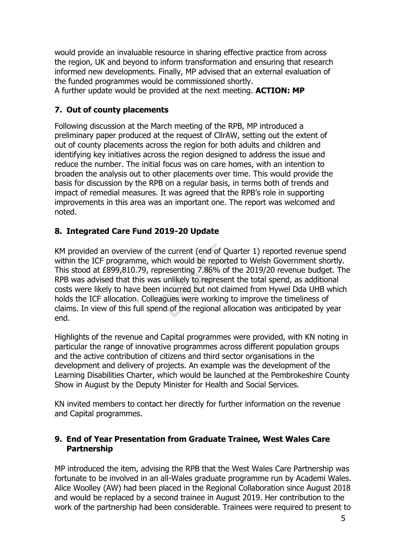would provide an invaluable resource in sharing effective practice from across the region, UK and beyond to inform transformation and ensuring that research informed new developments. Finally, MP advised that an external evaluation of the funded programmes would be commissioned shortly.

A further update would be provided at the next meeting. **ACTION: MP**

## **7. Out of county placements**

Following discussion at the March meeting of the RPB, MP introduced a preliminary paper produced at the request of CllrAW, setting out the extent of out of county placements across the region for both adults and children and identifying key initiatives across the region designed to address the issue and reduce the number. The initial focus was on care homes, with an intention to broaden the analysis out to other placements over time. This would provide the basis for discussion by the RPB on a regular basis, in terms both of trends and impact of remedial measures. It was agreed that the RPB's role in supporting improvements in this area was an important one. The report was welcomed and noted.

## **8. Integrated Care Fund 2019-20 Update**

KM provided an overview of the current (end of Quarter 1) reported revenue spend within the ICF programme, which would be reported to Welsh Government shortly. This stood at £899,810.79, representing 7.86% of the 2019/20 revenue budget. The RPB was advised that this was unlikely to represent the total spend, as additional costs were likely to have been incurred but not claimed from Hywel Dda UHB which holds the ICF allocation. Colleagues were working to improve the timeliness of claims. In view of this full spend of the regional allocation was anticipated by year end.

Highlights of the revenue and Capital programmes were provided, with KN noting in particular the range of innovative programmes across different population groups and the active contribution of citizens and third sector organisations in the development and delivery of projects. An example was the development of the Learning Disabilities Charter, which would be launched at the Pembrokeshire County Show in August by the Deputy Minister for Health and Social Services.

KN invited members to contact her directly for further information on the revenue and Capital programmes.

#### **9. End of Year Presentation from Graduate Trainee, West Wales Care Partnership**

MP introduced the item, advising the RPB that the West Wales Care Partnership was fortunate to be involved in an all-Wales graduate programme run by Academi Wales. Alice Woolley (AW) had been placed in the Regional Collaboration since August 2018 and would be replaced by a second trainee in August 2019. Her contribution to the work of the partnership had been considerable. Trainees were required to present to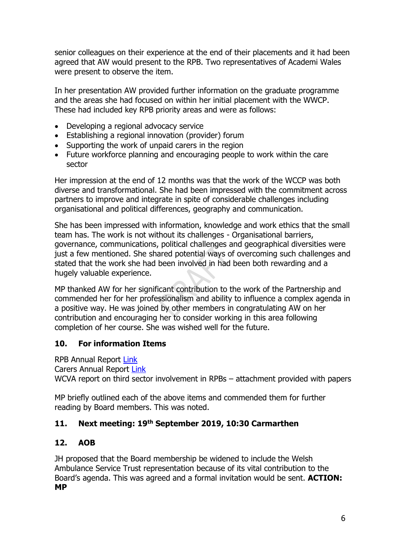senior colleagues on their experience at the end of their placements and it had been agreed that AW would present to the RPB. Two representatives of Academi Wales were present to observe the item.

In her presentation AW provided further information on the graduate programme and the areas she had focused on within her initial placement with the WWCP. These had included key RPB priority areas and were as follows:

- Developing a regional advocacy service
- Establishing a regional innovation (provider) forum
- Supporting the work of unpaid carers in the region
- Future workforce planning and encouraging people to work within the care sector

Her impression at the end of 12 months was that the work of the WCCP was both diverse and transformational. She had been impressed with the commitment across partners to improve and integrate in spite of considerable challenges including organisational and political differences, geography and communication.

She has been impressed with information, knowledge and work ethics that the small team has. The work is not without its challenges - Organisational barriers, governance, communications, political challenges and geographical diversities were just a few mentioned. She shared potential ways of overcoming such challenges and stated that the work she had been involved in had been both rewarding and a hugely valuable experience.

MP thanked AW for her significant contribution to the work of the Partnership and commended her for her professionalism and ability to influence a complex agenda in a positive way. He was joined by other members in congratulating AW on her contribution and encouraging her to consider working in this area following completion of her course. She was wished well for the future.

## **10. For information Items**

RPB Annual Report [Link](https://www.wwcp.org.uk/wp/wp-content/uploads/2019/06/WEST-WALES-RPB-ANNUAL-REPORT-2018-19-FINAL.docx.pdf)

Carers Annual Report [Link](https://www.wwcp.org.uk/wp/wp-content/uploads/2019/06/WWCDG-Carers-Annual-Report-2018-19-final-version.pdf)

WCVA report on third sector involvement in RPBs – attachment provided with papers

MP briefly outlined each of the above items and commended them for further reading by Board members. This was noted.

## **11. Next meeting: 19th September 2019, 10:30 Carmarthen**

#### **12. AOB**

JH proposed that the Board membership be widened to include the Welsh Ambulance Service Trust representation because of its vital contribution to the Board's agenda. This was agreed and a formal invitation would be sent. **ACTION: MP**